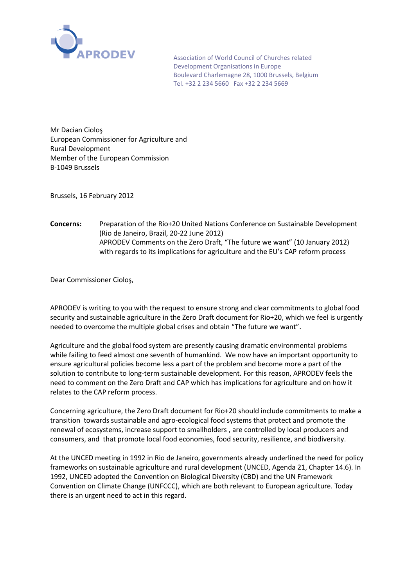

Association of World Council of Churches related Development Organisations in Europe Boulevard Charlemagne 28, 1000 Brussels, Belgium Tel. +32 2 234 5660 Fax +32 2 234 5669

Mr Dacian Cioloş European Commissioner for Agriculture and Rural Development Member of the European Commission B-1049 Brussels

Brussels, 16 February 2012

**Concerns:** Preparation of the Rio+20 United Nations Conference on Sustainable Development (Rio de Janeiro, Brazil, 20-22 June 2012) APRODEV Comments on the Zero Draft, "The future we want" (10 January 2012) with regards to its implications for agriculture and the EU's CAP reform process

Dear Commissioner Cioloş,

APRODEV is writing to you with the request to ensure strong and clear commitments to global food security and sustainable agriculture in the Zero Draft document for Rio+20, which we feel is urgently needed to overcome the multiple global crises and obtain "The future we want".

Agriculture and the global food system are presently causing dramatic environmental problems while failing to feed almost one seventh of humankind. We now have an important opportunity to ensure agricultural policies become less a part of the problem and become more a part of the solution to contribute to long-term sustainable development. For this reason, APRODEV feels the need to comment on the Zero Draft and CAP which has implications for agriculture and on how it relates to the CAP reform process.

Concerning agriculture, the Zero Draft document for Rio+20 should include commitments to make a transition towards sustainable and agro-ecological food systems that protect and promote the renewal of ecosystems, increase support to smallholders , are controlled by local producers and consumers, and that promote local food economies, food security, resilience, and biodiversity.

At the UNCED meeting in 1992 in Rio de Janeiro, governments already underlined the need for policy frameworks on sustainable agriculture and rural development (UNCED, Agenda 21, Chapter 14.6). In 1992, UNCED adopted the Convention on Biological Diversity (CBD) and the UN Framework Convention on Climate Change (UNFCCC), which are both relevant to European agriculture. Today there is an urgent need to act in this regard.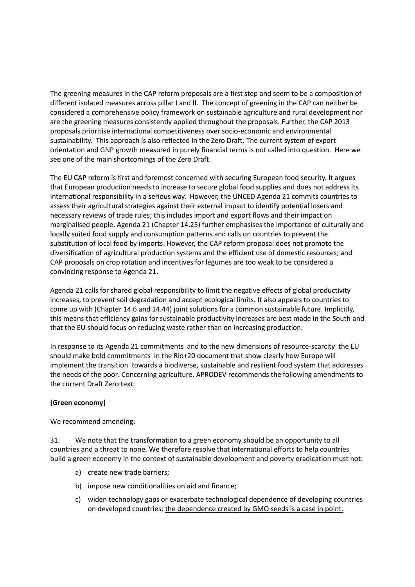The greening measures in the CAP reform proposals are a first step and seem to be a composition of different isolated measures across pillar I and II. The concept of greening in the CAP can neither be considered a comprehensive policy framework on sustainable agriculture and rural development nor are the greening measures consistently applied throughout the proposals. Further, the CAP 2013 proposals prioritise international competitiveness over socio-economic and environmental sustainability. This approach is also reflected in the Zero Draft. The current system of export orientation and GNP growth measured in purely financial terms is not called into question. Here we see one of the main shortcomings of the Zero Draft.

The EU CAP reform is first and foremost concerned with securing European food security. It argues that European production needs to increase to secure global food supplies and does not address its international responsibility in a serious way. However, the UNCED Agenda 21 commits countries to assess their agricultural strategies against their external impact to identify potential losers and necessary reviews of trade rules; this includes import and export flows and their impact on marginalised people. Agenda 21 (Chapter 14.25) further emphasises the importance of culturally and locally suited food supply and consumption patterns and calls on countries to prevent the substitution of local food by imports. However, the CAP reform proposal does not promote the diversification of agricultural production systems and the efficient use of domestic resources; and CAP proposals on crop rotation and incentives for legumes are too weak to be considered a convincing response to Agenda 21.

Agenda 21 calls for shared global responsibility to limit the negative effects of global productivity increases, to prevent soil degradation and accept ecological limits. It also appeals to countries to come up with (Chapter 14.6 and 14.44) joint solutions for a common sustainable future. Implicitly, this means that efficiency gains for sustainable productivity increases are best made in the South and that the EU should focus on reducing waste rather than on increasing production.

In response to its Agenda 21 commitments and to the new dimensions of resource-scarcity the EU should make bold commitments in the Rio+20 document that show clearly how Europe will implement the transition towards a biodiverse, sustainable and resilient food system that addresses the needs of the poor. Concerning agriculture, APRODEV recommends the following amendments to the current Draft Zero text:

## **[Green economy]**

We recommend amending:

31. We note that the transformation to a green economy should be an opportunity to all countries and a threat to none. We therefore resolve that international efforts to help countries build a green economy in the context of sustainable development and poverty eradication must not:

- a) create new trade barriers;
- b) impose new conditionalities on aid and finance;
- c) widen technology gaps or exacerbate technological dependence of developing countries on developed countries; the dependence created by GMO seeds is a case in point.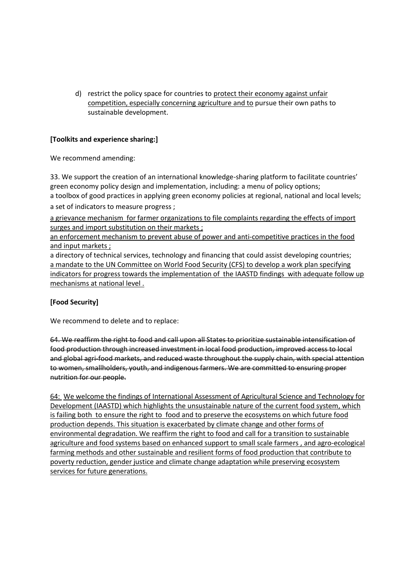d) restrict the policy space for countries to protect their economy against unfair competition, especially concerning agriculture and to pursue their own paths to sustainable development.

## **[Toolkits and experience sharing:]**

We recommend amending:

33. We support the creation of an international knowledge-sharing platform to facilitate countries' green economy policy design and implementation, including: a menu of policy options; a toolbox of good practices in applying green economy policies at regional, national and local levels;

a set of indicators to measure progress ;

a grievance mechanism for farmer organizations to file complaints regarding the effects of import surges and import substitution on their markets ;

an enforcement mechanism to prevent abuse of power and anti-competitive practices in the food and input markets ;

a directory of technical services, technology and financing that could assist developing countries; a mandate to the UN Committee on World Food Security (CFS) to develop a work plan specifying indicators for progress towards the implementation of the IAASTD findings with adequate follow up mechanisms at national level .

## **[Food Security]**

We recommend to delete and to replace:

64. We reaffirm the right to food and call upon all States to prioritize sustainable intensification of food production through increased investment in local food production, improved access to local and global agri-food markets, and reduced waste throughout the supply chain, with special attention to women, smallholders, youth, and indigenous farmers. We are committed to ensuring proper nutrition for our people.

64: We welcome the findings of International Assessment of Agricultural Science and Technology for Development (IAASTD) which highlights the unsustainable nature of the current food system, which is failing both to ensure the right to food and to preserve the ecosystems on which future food production depends. This situation is exacerbated by climate change and other forms of environmental degradation. We reaffirm the right to food and call for a transition to sustainable agriculture and food systems based on enhanced support to small scale farmers , and agro-ecological farming methods and other sustainable and resilient forms of food production that contribute to poverty reduction, gender justice and climate change adaptation while preserving ecosystem services for future generations.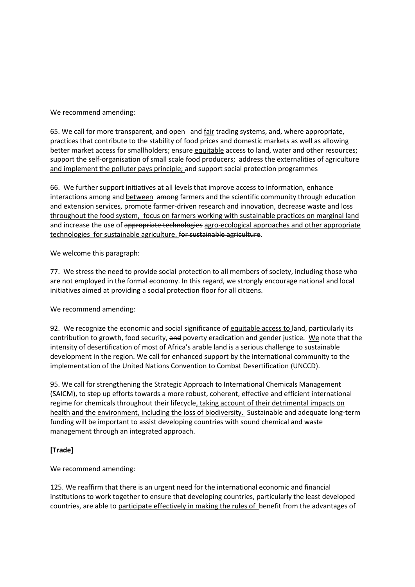We recommend amending:

65. We call for more transparent, and open- and fair trading systems, and, where appropriate, practices that contribute to the stability of food prices and domestic markets as well as allowing better market access for smallholders; ensure equitable access to land, water and other resources; support the self-organisation of small scale food producers; address the externalities of agriculture and implement the polluter pays principle; and support social protection programmes

66. We further support initiatives at all levels that improve access to information, enhance interactions among and between among farmers and the scientific community through education and extension services, promote farmer-driven research and innovation, decrease waste and loss throughout the food system, focus on farmers working with sustainable practices on marginal land and increase the use of appropriate technologies agro-ecological approaches and other appropriate technologies for sustainable agriculture. for sustainable agriculture.

We welcome this paragraph:

77. We stress the need to provide social protection to all members of society, including those who are not employed in the formal economy. In this regard, we strongly encourage national and local initiatives aimed at providing a social protection floor for all citizens.

We recommend amending:

92. We recognize the economic and social significance of equitable access to land, particularly its contribution to growth, food security, and poverty eradication and gender justice. We note that the intensity of desertification of most of Africa's arable land is a serious challenge to sustainable development in the region. We call for enhanced support by the international community to the implementation of the United Nations Convention to Combat Desertification (UNCCD).

95. We call for strengthening the Strategic Approach to International Chemicals Management (SAICM), to step up efforts towards a more robust, coherent, effective and efficient international regime for chemicals throughout their lifecycle, taking account of their detrimental impacts on health and the environment, including the loss of biodiversity. Sustainable and adequate long-term funding will be important to assist developing countries with sound chemical and waste management through an integrated approach.

## **[Trade]**

We recommend amending:

125. We reaffirm that there is an urgent need for the international economic and financial institutions to work together to ensure that developing countries, particularly the least developed countries, are able to participate effectively in making the rules of benefit from the advantages of